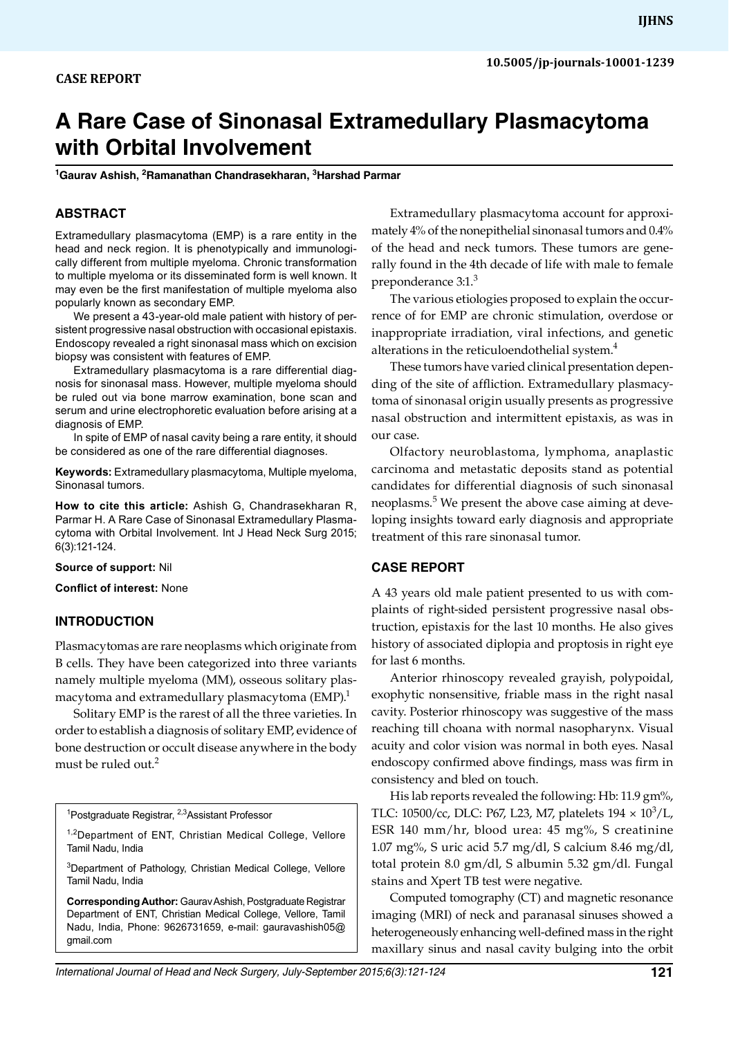# **A Rare Case of Sinonasal Extramedullary Plasmacytoma with Orbital Involvement**

**1 Gaurav Ashish, 2 Ramanathan Chandrasekharan, 3 Harshad Parmar**

## **ABSTRACT**

Extramedullary plasmacytoma (EMP) is a rare entity in the head and neck region. It is phenotypically and immunologically different from multiple myeloma. Chronic transformation to multiple myeloma or its disseminated form is well known. It may even be the first manifestation of multiple myeloma also popularly known as secondary EMP.

We present a 43-year-old male patient with history of persistent progressive nasal obstruction with occasional epistaxis. Endoscopy revealed a right sinonasal mass which on excision biopsy was consistent with features of EMP.

Extramedullary plasmacytoma is a rare differential diagnosis for sinonasal mass. However, multiple myeloma should be ruled out via bone marrow examination, bone scan and serum and urine electrophoretic evaluation before arising at a diagnosis of EMP.

In spite of EMP of nasal cavity being a rare entity, it should be considered as one of the rare differential diagnoses.

**Keywords:** Extramedullary plasmacytoma, Multiple myeloma, Sinonasal tumors.

**How to cite this article:** Ashish G, Chandrasekharan R, Parmar H. A Rare Case of Sinonasal Extramedullary Plasmacytoma with Orbital Involvement. Int J Head Neck Surg 2015; 6(3):121-124.

**Source of support:** Nil

**Conflict of interest:** None

#### **INTRODUCTION**

Plasmacytomas are rare neoplasms which originate from B cells. They have been categorized into three variants namely multiple myeloma (MM), osseous solitary plasmacytoma and extramedullary plasmacytoma  $(EMP).$ <sup>1</sup>

Solitary EMP is the rarest of all the three varieties. In order to establish a diagnosis of solitary EMP, evidence of bone destruction or occult disease anywhere in the body must be ruled out.<sup>2</sup>

<sup>1</sup>Postgraduate Registrar, <sup>2,3</sup>Assistant Professor

1,2Department of ENT, Christian Medical College, Vellore Tamil Nadu, India

<sup>3</sup>Department of Pathology, Christian Medical College, Vellore Tamil Nadu, India

**Corresponding Author:** Gaurav Ashish, Postgraduate Registrar Department of ENT, Christian Medical College, Vellore, Tamil Nadu, India, Phone: 9626731659, e-mail: gauravashish05@ gmail.com

Extramedullary plasmacytoma account for approximately 4% of the nonepithelial sinonasal tumors and 0.4% of the head and neck tumors. These tumors are generally found in the 4th decade of life with male to female preponderance 3:1.<sup>3</sup>

The various etiologies proposed to explain the occurrence of for EMP are chronic stimulation, overdose or inappropriate irradiation, viral infections, and genetic alterations in the reticuloendothelial system.<sup>4</sup>

These tumors have varied clinical presentation depending of the site of affliction. Extramedullary plasmacytoma of sinonasal origin usually presents as progressive nasal obstruction and intermittent epistaxis, as was in our case.

Olfactory neuroblastoma, lymphoma, anaplastic carcinoma and metastatic deposits stand as potential candidates for differential diagnosis of such sinonasal neoplasms.<sup>5</sup> We present the above case aiming at developing insights toward early diagnosis and appropriate treatment of this rare sinonasal tumor.

## **CASE REPORT**

A 43 years old male patient presented to us with complaints of right-sided persistent progressive nasal obstruction, epistaxis for the last 10 months. He also gives history of associated diplopia and proptosis in right eye for last 6 months.

Anterior rhinoscopy revealed grayish, polypoidal, exophytic nonsensitive, friable mass in the right nasal cavity. Posterior rhinoscopy was suggestive of the mass reaching till choana with normal nasopharynx. Visual acuity and color vision was normal in both eyes. Nasal endoscopy confirmed above findings, mass was firm in consistency and bled on touch.

His lab reports revealed the following: Hb: 11.9 gm%, TLC: 10500/cc, DLC: P67, L23, M7, platelets  $194 \times 10^3$ /L, ESR 140 mm/hr, blood urea: 45 mg%, S creatinine 1.07 mg%, S uric acid 5.7 mg/dl, S calcium 8.46 mg/dl, total protein 8.0 gm/dl, S albumin 5.32 gm/dl. Fungal stains and Xpert TB test were negative.

Computed tomography (CT) and magnetic resonance imaging (MRI) of neck and paranasal sinuses showed a heterogeneously enhancing well-defined mass in the right maxillary sinus and nasal cavity bulging into the orbit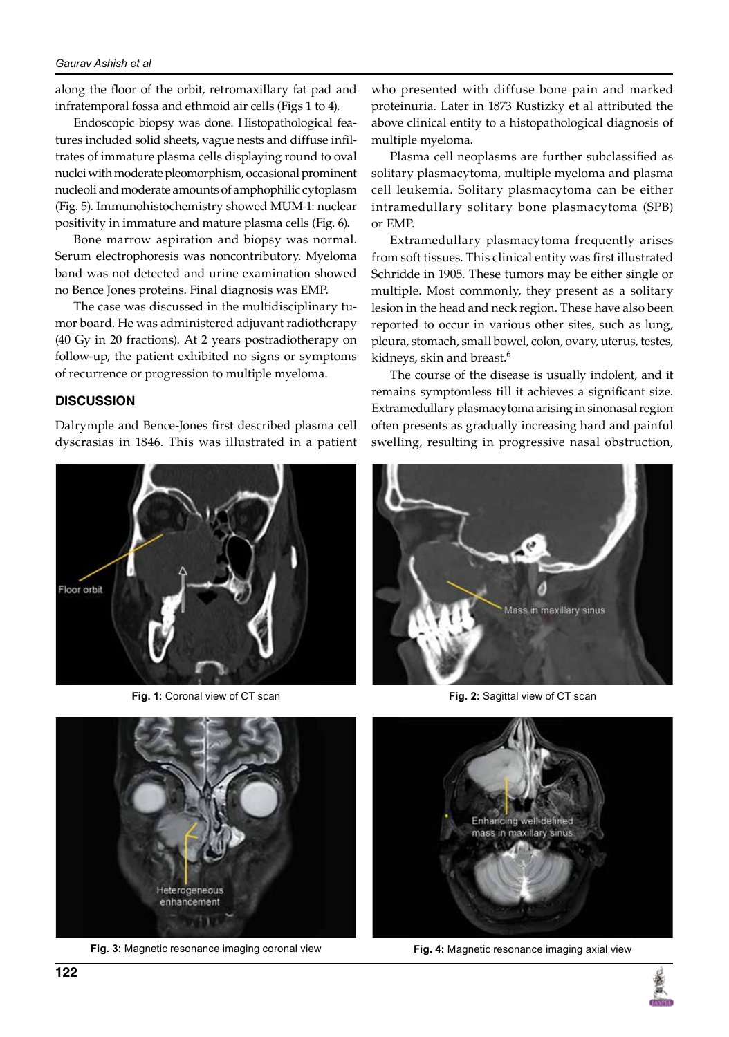#### *Gaurav Ashish et al*

along the floor of the orbit, retromaxillary fat pad and infratemporal fossa and ethmoid air cells (Figs 1 to 4).

Endoscopic biopsy was done. Histopathological features included solid sheets, vague nests and diffuse infiltrates of immature plasma cells displaying round to oval nuclei with moderate pleomorphism, occasional prominent nucleoli and moderate amounts of amphophilic cytoplasm (Fig. 5). Immunohistochemistry showed MUM-1: nuclear positivity in immature and mature plasma cells (Fig. 6).

Bone marrow aspiration and biopsy was normal. Serum electrophoresis was noncontributory. Myeloma band was not detected and urine examination showed no Bence Jones proteins. Final diagnosis was EMP.

The case was discussed in the multidisciplinary tumor board. He was administered adjuvant radiotherapy (40 Gy in 20 fractions). At 2 years postradiotherapy on follow-up, the patient exhibited no signs or symptoms of recurrence or progression to multiple myeloma.

## **DISCUSSION**

Dalrymple and Bence-Jones first described plasma cell dyscrasias in 1846. This was illustrated in a patient



**Fig. 1:** Coronal view of CT scan **Fig. 2:** Sagittal view of CT scan



**Fig. 3:** Magnetic resonance imaging coronal view

who presented with diffuse bone pain and marked proteinuria. Later in 1873 Rustizky et al attributed the above clinical entity to a histopathological diagnosis of multiple myeloma.

Plasma cell neoplasms are further subclassified as solitary plasmacytoma, multiple myeloma and plasma cell leukemia. Solitary plasmacytoma can be either intramedullary solitary bone plasmacytoma (SPB) or EMP.

Extramedullary plasmacytoma frequently arises from soft tissues. This clinical entity was first illustrated Schridde in 1905. These tumors may be either single or multiple. Most commonly, they present as a solitary lesion in the head and neck region. These have also been reported to occur in various other sites, such as lung, pleura, stomach, small bowel, colon, ovary, uterus, testes, kidneys, skin and breast.<sup>6</sup>

The course of the disease is usually indolent, and it remains symptomless till it achieves a significant size. Extramedullary plasmacytoma arising in sinonasal region often presents as gradually increasing hard and painful swelling, resulting in progressive nasal obstruction,





**Fig. 4:** Magnetic resonance imaging axial view

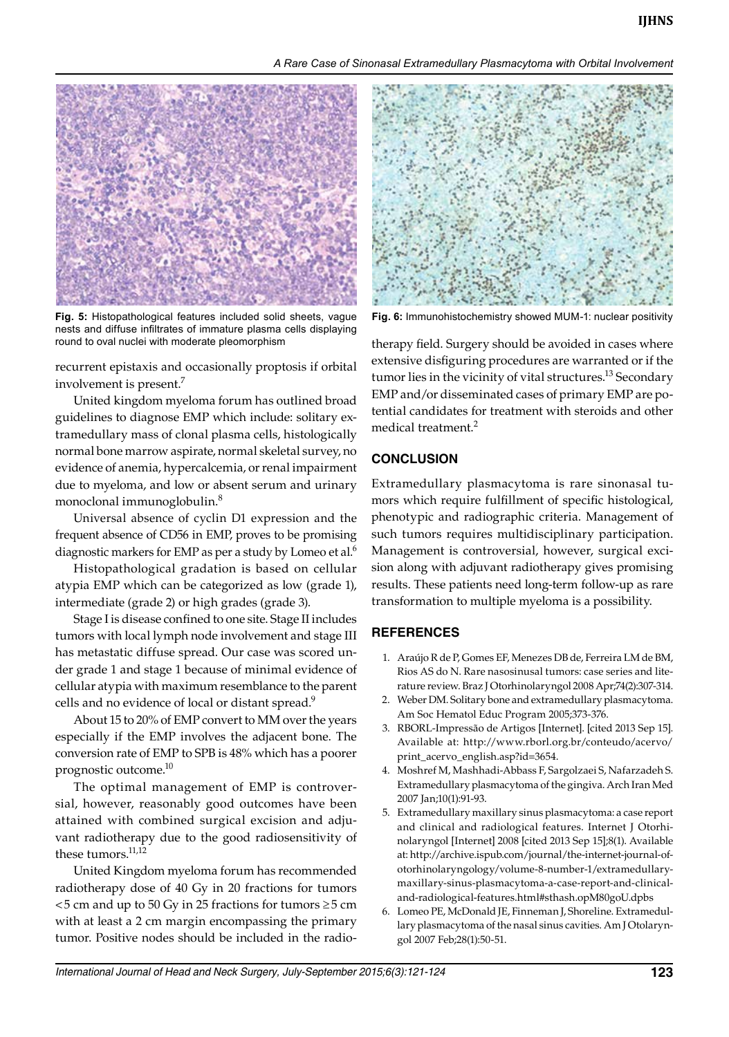*A Rare Case of Sinonasal Extramedullary Plasmacytoma with Orbital Involvement*



**Fig. 5:** Histopathological features included solid sheets, vague **Fig. 6:** Immunohistochemistry showed MUM-1: nuclear positivity nests and diffuse infiltrates of immature plasma cells displaying round to oval nuclei with moderate pleomorphism

recurrent epistaxis and occasionally proptosis if orbital involvement is present.<sup>7</sup>

United kingdom myeloma forum has outlined broad guidelines to diagnose EMP which include: solitary extramedullary mass of clonal plasma cells, histologically normal bone marrow aspirate, normal skeletal survey, no evidence of anemia, hypercalcemia, or renal impairment due to myeloma, and low or absent serum and urinary monoclonal immunoglobulin.8

Universal absence of cyclin D1 expression and the frequent absence of CD56 in EMP, proves to be promising diagnostic markers for EMP as per a study by Lomeo et al.<sup>6</sup>

Histopathological gradation is based on cellular atypia EMP which can be categorized as low (grade 1), intermediate (grade 2) or high grades (grade 3).

Stage I is disease confined to one site. Stage II includes tumors with local lymph node involvement and stage III has metastatic diffuse spread. Our case was scored under grade 1 and stage 1 because of minimal evidence of cellular atypia with maximum resemblance to the parent cells and no evidence of local or distant spread.<sup>9</sup>

About 15 to 20% of EMP convert to MM over the years especially if the EMP involves the adjacent bone. The conversion rate of EMP to SPB is 48% which has a poorer prognostic outcome.10

The optimal management of EMP is controversial, however, reasonably good outcomes have been attained with combined surgical excision and adjuvant radiotherapy due to the good radiosensitivity of these tumors. $^{11,12}$ 

United Kingdom myeloma forum has recommended radiotherapy dose of 40 Gy in 20 fractions for tumors  $<$  5 cm and up to 50 Gy in 25 fractions for tumors  $\ge$  5 cm with at least a 2 cm margin encompassing the primary tumor. Positive nodes should be included in the radio-



therapy field. Surgery should be avoided in cases where extensive disfiguring procedures are warranted or if the tumor lies in the vicinity of vital structures.<sup>13</sup> Secondary EMP and/or disseminated cases of primary EMP are potential candidates for treatment with steroids and other medical treatment.<sup>2</sup>

# **CONCLUSION**

Extramedullary plasmacytoma is rare sinonasal tumors which require fulfillment of specific histological, phenotypic and radiographic criteria. Management of such tumors requires multidisciplinary participation. Management is controversial, however, surgical excision along with adjuvant radiotherapy gives promising results. These patients need long-term follow-up as rare transformation to multiple myeloma is a possibility.

# **REFERENCES**

- 1. Araújo R de P, Gomes EF, Menezes DB de, Ferreira LM de BM, Rios AS do N. Rare nasosinusal tumors: case series and literature review. Braz J Otorhinolaryngol 2008 Apr;74(2):307-314.
- 2. Weber DM. Solitary bone and extramedullary plasmacytoma. Am Soc Hematol Educ Program 2005;373-376.
- 3. RBORL-Impressão de Artigos [Internet]. [cited 2013 Sep 15]. Available at: http://www.rborl.org.br/conteudo/acervo/ print\_acervo\_english.asp?id=3654.
- 4. Moshref M, Mashhadi-Abbass F, Sargolzaei S, Nafarzadeh S. Extramedullary plasmacytoma of the gingiva. Arch Iran Med 2007 Jan;10(1):91-93.
- 5. Extramedullary maxillary sinus plasmacytoma: a case report and clinical and radiological features. Internet J Otorhinolaryngol [Internet] 2008 [cited 2013 Sep 15];8(1). Available at: http://archive.ispub.com/journal/the-internet-journal-ofotorhinolaryngology/volume-8-number-1/extramedullarymaxillary-sinus-plasmacytoma-a-case-report-and-clinicaland-radiological-features.html#sthash.opM80goU.dpbs
- Lomeo PE, McDonald JE, Finneman J, Shoreline. Extramedullary plasmacytoma of the nasal sinus cavities. Am J Otolaryngol 2007 Feb;28(1):50-51.